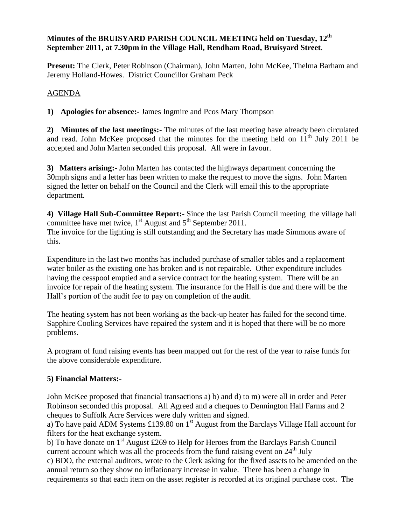### **Minutes of the BRUISYARD PARISH COUNCIL MEETING held on Tuesday, 12th September 2011, at 7.30pm in the Village Hall, Rendham Road, Bruisyard Street**.

**Present:** The Clerk, Peter Robinson (Chairman), John Marten, John McKee, Thelma Barham and Jeremy Holland-Howes. District Councillor Graham Peck

## AGENDA

**1) Apologies for absence:-** James Ingmire and Pcos Mary Thompson

**2) Minutes of the last meetings:-** The minutes of the last meeting have already been circulated and read. John McKee proposed that the minutes for the meeting held on 11<sup>th</sup> July 2011 be accepted and John Marten seconded this proposal. All were in favour.

**3) Matters arising:-** John Marten has contacted the highways department concerning the 30mph signs and a letter has been written to make the request to move the signs. John Marten signed the letter on behalf on the Council and the Clerk will email this to the appropriate department.

**4) Village Hall Sub-Committee Report:-** Since the last Parish Council meeting the village hall committee have met twice,  $1<sup>st</sup>$  August and  $5<sup>th</sup>$  September 2011. The invoice for the lighting is still outstanding and the Secretary has made Simmons aware of this.

Expenditure in the last two months has included purchase of smaller tables and a replacement water boiler as the existing one has broken and is not repairable. Other expenditure includes having the cesspool emptied and a service contract for the heating system. There will be an invoice for repair of the heating system. The insurance for the Hall is due and there will be the Hall's portion of the audit fee to pay on completion of the audit.

The heating system has not been working as the back-up heater has failed for the second time. Sapphire Cooling Services have repaired the system and it is hoped that there will be no more problems.

A program of fund raising events has been mapped out for the rest of the year to raise funds for the above considerable expenditure.

# **5) Financial Matters:-**

John McKee proposed that financial transactions a) b) and d) to m) were all in order and Peter Robinson seconded this proposal. All Agreed and a cheques to Dennington Hall Farms and 2 cheques to Suffolk Acre Services were duly written and signed.

a) To have paid ADM Systems £139.80 on  $1<sup>st</sup>$  August from the Barclays Village Hall account for filters for the heat exchange system.

b) To have donate on  $1<sup>st</sup>$  August £269 to Help for Heroes from the Barclays Parish Council current account which was all the proceeds from the fund raising event on  $24<sup>th</sup>$  July c) BDO, the external auditors, wrote to the Clerk asking for the fixed assets to be amended on the annual return so they show no inflationary increase in value. There has been a change in requirements so that each item on the asset register is recorded at its original purchase cost. The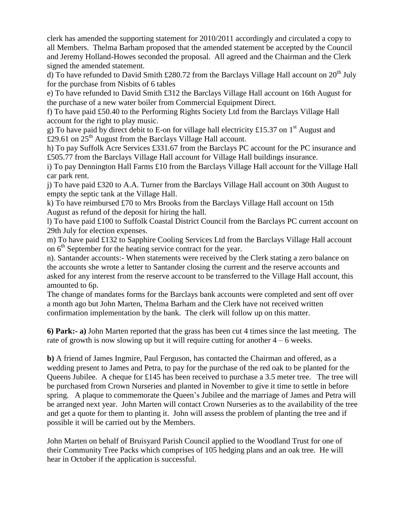clerk has amended the supporting statement for 2010/2011 accordingly and circulated a copy to all Members. Thelma Barham proposed that the amended statement be accepted by the Council and Jeremy Holland-Howes seconded the proposal. All agreed and the Chairman and the Clerk signed the amended statement.

d) To have refunded to David Smith £280.72 from the Barclays Village Hall account on  $20<sup>th</sup>$  July for the purchase from Nisbits of 6 tables

e) To have refunded to David Smith £312 the Barclays Village Hall account on 16th August for the purchase of a new water boiler from Commercial Equipment Direct.

f) To have paid £50.40 to the Performing Rights Society Ltd from the Barclays Village Hall account for the right to play music.

g) To have paid by direct debit to E-on for village hall electricity £15.37 on 1<sup>st</sup> August and £29.61 on  $25<sup>th</sup>$  August from the Barclays Village Hall account.

h) To pay Suffolk Acre Services £331.67 from the Barclays PC account for the PC insurance and £505.77 from the Barclays Village Hall account for Village Hall buildings insurance.

i) To pay Dennington Hall Farms £10 from the Barclays Village Hall account for the Village Hall car park rent.

j) To have paid £320 to A.A. Turner from the Barclays Village Hall account on 30th August to empty the septic tank at the Village Hall.

k) To have reimbursed £70 to Mrs Brooks from the Barclays Village Hall account on 15th August as refund of the deposit for hiring the hall.

l) To have paid £100 to Suffolk Coastal District Council from the Barclays PC current account on 29th July for election expenses.

m) To have paid £132 to Sapphire Cooling Services Ltd from the Barclays Village Hall account on  $6<sup>th</sup>$  September for the heating service contract for the year.

n). Santander accounts:- When statements were received by the Clerk stating a zero balance on the accounts she wrote a letter to Santander closing the current and the reserve accounts and asked for any interest from the reserve account to be transferred to the Village Hall account, this amounted to 6p.

The change of mandates forms for the Barclays bank accounts were completed and sent off over a month ago but John Marten, Thelma Barham and the Clerk have not received written confirmation implementation by the bank. The clerk will follow up on this matter.

**6) Park:- a)** John Marten reported that the grass has been cut 4 times since the last meeting. The rate of growth is now slowing up but it will require cutting for another  $4 - 6$  weeks.

**b)** A friend of James Ingmire, Paul Ferguson, has contacted the Chairman and offered, as a wedding present to James and Petra, to pay for the purchase of the red oak to be planted for the Queens Jubilee. A cheque for £145 has been received to purchase a 3.5 meter tree. The tree will be purchased from Crown Nurseries and planted in November to give it time to settle in before spring. A plaque to commemorate the Queen's Jubilee and the marriage of James and Petra will be arranged next year. John Marten will contact Crown Nurseries as to the availability of the tree and get a quote for them to planting it. John will assess the problem of planting the tree and if possible it will be carried out by the Members.

John Marten on behalf of Bruisyard Parish Council applied to the Woodland Trust for one of their Community Tree Packs which comprises of 105 hedging plans and an oak tree. He will hear in October if the application is successful.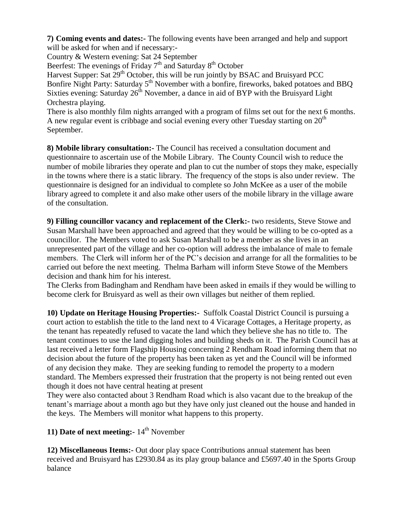**7) Coming events and dates:-** The following events have been arranged and help and support will be asked for when and if necessary:-

Country & Western evening: Sat 24 September

Beerfest: The evenings of Friday 7<sup>th</sup> and Saturday 8<sup>th</sup> October

Harvest Supper: Sat  $29<sup>th</sup>$  October, this will be run jointly by BSAC and Bruisyard PCC Bonfire Night Party: Saturday 5<sup>th</sup> November with a bonfire, fireworks, baked potatoes and BBQ Sixties evening: Saturday  $26<sup>th</sup>$  November, a dance in aid of BYP with the Bruisvard Light Orchestra playing.

There is also monthly film nights arranged with a program of films set out for the next 6 months. A new regular event is cribbage and social evening every other Tuesday starting on  $20<sup>th</sup>$ September.

**8) Mobile library consultation:-** The Council has received a consultation document and questionnaire to ascertain use of the Mobile Library. The County Council wish to reduce the number of mobile libraries they operate and plan to cut the number of stops they make, especially in the towns where there is a static library. The frequency of the stops is also under review. The questionnaire is designed for an individual to complete so John McKee as a user of the mobile library agreed to complete it and also make other users of the mobile library in the village aware of the consultation.

**9) Filling councillor vacancy and replacement of the Clerk:-** two residents, Steve Stowe and Susan Marshall have been approached and agreed that they would be willing to be co-opted as a councillor. The Members voted to ask Susan Marshall to be a member as she lives in an unrepresented part of the village and her co-option will address the imbalance of male to female members. The Clerk will inform her of the PC's decision and arrange for all the formalities to be carried out before the next meeting. Thelma Barham will inform Steve Stowe of the Members decision and thank him for his interest.

The Clerks from Badingham and Rendham have been asked in emails if they would be willing to become clerk for Bruisyard as well as their own villages but neither of them replied.

**10) Update on Heritage Housing Properties:-** Suffolk Coastal District Council is pursuing a court action to establish the title to the land next to 4 Vicarage Cottages, a Heritage property, as the tenant has repeatedly refused to vacate the land which they believe she has no title to. The tenant continues to use the land digging holes and building sheds on it. The Parish Council has at last received a letter form Flagship Housing concerning 2 Rendham Road informing them that no decision about the future of the property has been taken as yet and the Council will be informed of any decision they make. They are seeking funding to remodel the property to a modern standard. The Members expressed their frustration that the property is not being rented out even though it does not have central heating at present

They were also contacted about 3 Rendham Road which is also vacant due to the breakup of the tenant's marriage about a month ago but they have only just cleaned out the house and handed in the keys. The Members will monitor what happens to this property.

**11) Date of next meeting:**  $14^{\text{th}}$  November

**12) Miscellaneous Items:-** Out door play space Contributions annual statement has been received and Bruisyard has £2930.84 as its play group balance and £5697.40 in the Sports Group balance